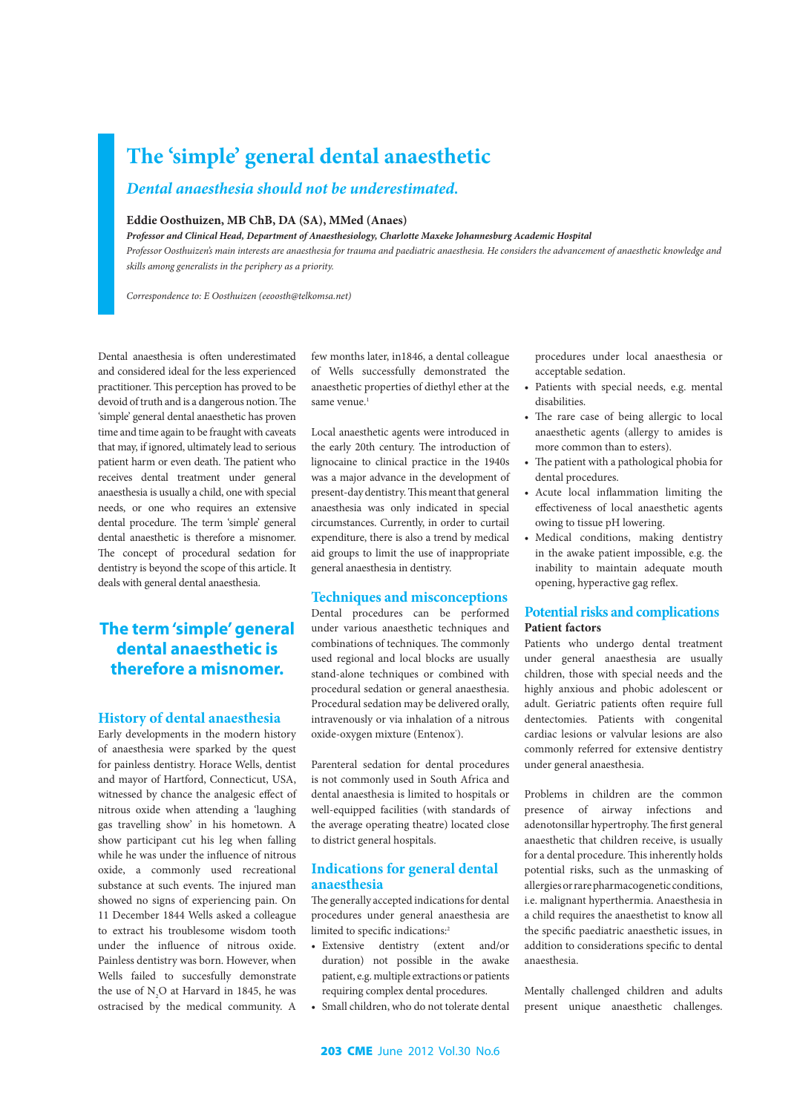# **The 'simple' general dental anaesthetic**

## *Dental anaesthesia should not be underestimated.*

#### **Eddie Oosthuizen, MB ChB, DA (SA), MMed (Anaes)**

*Professor and Clinical Head, Department of Anaesthesiology, Charlotte Maxeke Johannesburg Academic Hospital*

*Professor Oosthuizen's main interests are anaesthesia for trauma and paediatric anaesthesia. He considers the advancement of anaesthetic knowledge and skills among generalists in the periphery as a priority.*

*Correspondence to: E Oosthuizen (eeoosth@telkomsa.net)*

Dental anaesthesia is often underestimated and considered ideal for the less experienced practitioner. This perception has proved to be devoid of truth and is a dangerous notion. The 'simple' general dental anaesthetic has proven time and time again to be fraught with caveats that may, if ignored, ultimately lead to serious patient harm or even death. The patient who receives dental treatment under general anaesthesia is usually a child, one with special needs, or one who requires an extensive dental procedure. The term 'simple' general dental anaesthetic is therefore a misnomer. The concept of procedural sedation for dentistry is beyond the scope of this article. It deals with general dental anaesthesia.

# **The term 'simple' general dental anaesthetic is therefore a misnomer.**

#### **History of dental anaesthesia**

Early developments in the modern history of anaesthesia were sparked by the quest for painless dentistry. Horace Wells, dentist and mayor of Hartford, Connecticut, USA, witnessed by chance the analgesic effect of nitrous oxide when attending a 'laughing gas travelling show' in his hometown. A show participant cut his leg when falling while he was under the influence of nitrous oxide, a commonly used recreational substance at such events. The injured man showed no signs of experiencing pain. On 11 December 1844 Wells asked a colleague to extract his troublesome wisdom tooth under the influence of nitrous oxide. Painless dentistry was born. However, when Wells failed to succesfully demonstrate the use of  $N_2O$  at Harvard in 1845, he was ostracised by the medical community. A

few months later, in1846, a dental colleague of Wells successfully demonstrated the anaesthetic properties of diethyl ether at the same venue.<sup>1</sup>

Local anaesthetic agents were introduced in the early 20th century. The introduction of lignocaine to clinical practice in the 1940s was a major advance in the development of present-day dentistry. This meant that general anaesthesia was only indicated in special circumstances. Currently, in order to curtail expenditure, there is also a trend by medical aid groups to limit the use of inappropriate general anaesthesia in dentistry.

#### **Techniques and misconceptions**

Dental procedures can be performed under various anaesthetic techniques and combinations of techniques. The commonly used regional and local blocks are usually stand-alone techniques or combined with procedural sedation or general anaesthesia. Procedural sedation may be delivered orally, intravenously or via inhalation of a nitrous oxide-oxygen mixture (Entenox<sup>®</sup>).

Parenteral sedation for dental procedures is not commonly used in South Africa and dental anaesthesia is limited to hospitals or well-equipped facilities (with standards of the average operating theatre) located close to district general hospitals.

#### **Indications for general dental anaesthesia**

The generally accepted indications for dental procedures under general anaesthesia are limited to specific indications:<sup>2</sup>

- • Extensive dentistry (extent and/or duration) not possible in the awake patient, e.g. multiple extractions or patients requiring complex dental procedures.
- Small children, who do not tolerate dental

procedures under local anaesthesia or acceptable sedation.

- Patients with special needs, e.g. mental disabilities.
- • The rare case of being allergic to local anaesthetic agents (allergy to amides is more common than to esters).
- The patient with a pathological phobia for dental procedures.
- • Acute local inflammation limiting the effectiveness of local anaesthetic agents owing to tissue pH lowering.
- • Medical conditions, making dentistry in the awake patient impossible, e.g. the inability to maintain adequate mouth opening, hyperactive gag reflex.

#### **Potential risks and complications Patient factors**

Patients who undergo dental treatment under general anaesthesia are usually children, those with special needs and the highly anxious and phobic adolescent or adult. Geriatric patients often require full dentectomies. Patients with congenital cardiac lesions or valvular lesions are also commonly referred for extensive dentistry under general anaesthesia.

Problems in children are the common presence of airway infections and adenotonsillar hypertrophy. The first general anaesthetic that children receive, is usually for a dental procedure. This inherently holds potential risks, such as the unmasking of allergies or rare pharmacogenetic conditions, i.e. malignant hyperthermia. Anaesthesia in a child requires the anaesthetist to know all the specific paediatric anaesthetic issues, in addition to considerations specific to dental anaesthesia.

Mentally challenged children and adults present unique anaesthetic challenges.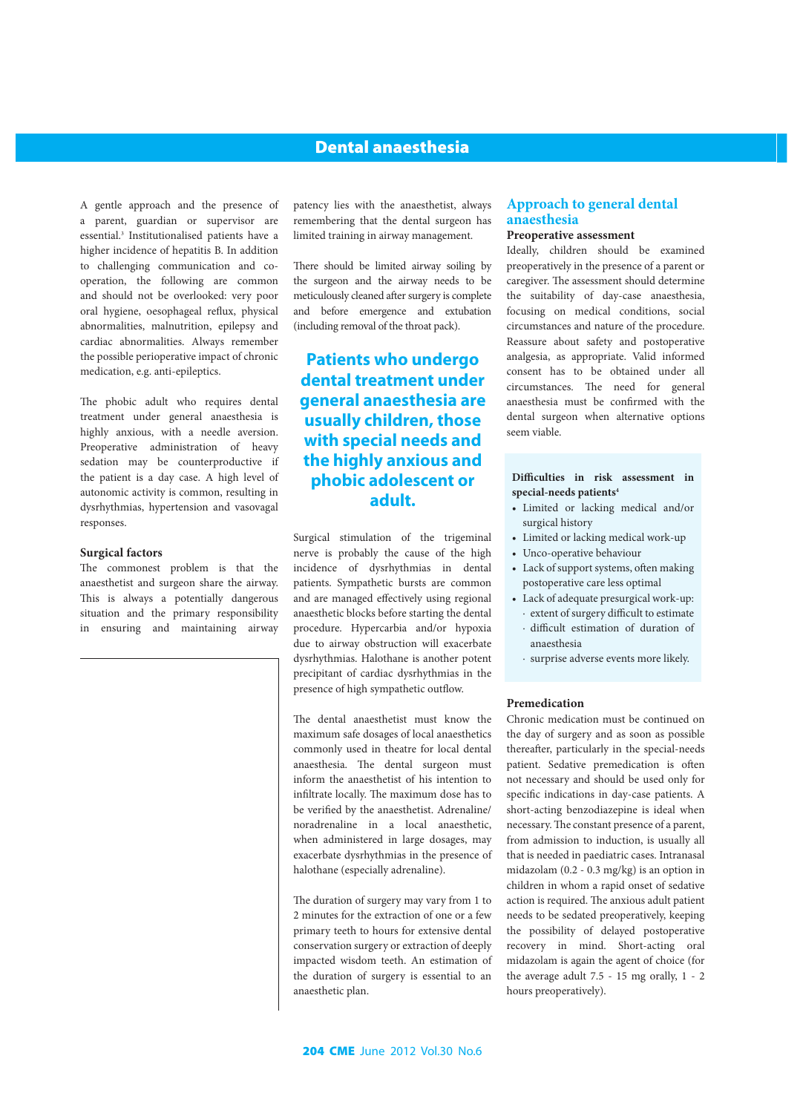### Dental anaesthesia

A gentle approach and the presence of a parent, guardian or supervisor are essential.3 Institutionalised patients have a higher incidence of hepatitis B. In addition to challenging communication and cooperation, the following are common and should not be overlooked: very poor oral hygiene, oesophageal reflux, physical abnormalities, malnutrition, epilepsy and cardiac abnormalities. Always remember the possible perioperative impact of chronic medication, e.g. anti-epileptics.

The phobic adult who requires dental treatment under general anaesthesia is highly anxious, with a needle aversion. Preoperative administration of heavy sedation may be counterproductive if the patient is a day case. A high level of autonomic activity is common, resulting in dysrhythmias, hypertension and vasovagal responses.

#### **Surgical factors**

The commonest problem is that the anaesthetist and surgeon share the airway. This is always a potentially dangerous situation and the primary responsibility in ensuring and maintaining airway patency lies with the anaesthetist, always remembering that the dental surgeon has limited training in airway management.

There should be limited airway soiling by the surgeon and the airway needs to be meticulously cleaned after surgery is complete and before emergence and extubation (including removal of the throat pack).

# **Patients who undergo dental treatment under general anaesthesia are usually children, those with special needs and the highly anxious and phobic adolescent or adult.**

Surgical stimulation of the trigeminal nerve is probably the cause of the high incidence of dysrhythmias in dental patients. Sympathetic bursts are common and are managed effectively using regional anaesthetic blocks before starting the dental procedure. Hypercarbia and/or hypoxia due to airway obstruction will exacerbate dysrhythmias. Halothane is another potent precipitant of cardiac dysrhythmias in the presence of high sympathetic outflow.

The dental anaesthetist must know the maximum safe dosages of local anaesthetics commonly used in theatre for local dental anaesthesia. The dental surgeon must inform the anaesthetist of his intention to infiltrate locally. The maximum dose has to be verified by the anaesthetist. Adrenaline/ noradrenaline in a local anaesthetic, when administered in large dosages, may exacerbate dysrhythmias in the presence of halothane (especially adrenaline).

The duration of surgery may vary from 1 to 2 minutes for the extraction of one or a few primary teeth to hours for extensive dental conservation surgery or extraction of deeply impacted wisdom teeth. An estimation of the duration of surgery is essential to an anaesthetic plan.

### **Approach to general dental anaesthesia**

### **Preoperative assessment**

Ideally, children should be examined preoperatively in the presence of a parent or caregiver. The assessment should determine the suitability of day-case anaesthesia, focusing on medical conditions, social circumstances and nature of the procedure. Reassure about safety and postoperative analgesia, as appropriate. Valid informed consent has to be obtained under all circumstances. The need for general anaesthesia must be confirmed with the dental surgeon when alternative options seem viable.

#### **Difficulties in risk assessment in special-needs patients4**

- • Limited or lacking medical and/or surgical history
- • Limited or lacking medical work-up
- • Unco-operative behaviour
- • Lack of support systems, often making postoperative care less optimal
- • Lack of adequate presurgical work-up: ∙ extent of surgery difficult to estimate
	- ∙ difficult estimation of duration of anaesthesia
	- ∙ surprise adverse events more likely.

#### **Premedication**

Chronic medication must be continued on the day of surgery and as soon as possible thereafter, particularly in the special-needs patient. Sedative premedication is often not necessary and should be used only for specific indications in day-case patients. A short-acting benzodiazepine is ideal when necessary. The constant presence of a parent, from admission to induction, is usually all that is needed in paediatric cases. Intranasal midazolam (0.2 - 0.3 mg/kg) is an option in children in whom a rapid onset of sedative action is required. The anxious adult patient needs to be sedated preoperatively, keeping the possibility of delayed postoperative recovery in mind. Short-acting oral midazolam is again the agent of choice (for the average adult 7.5 - 15 mg orally, 1 - 2 hours preoperatively).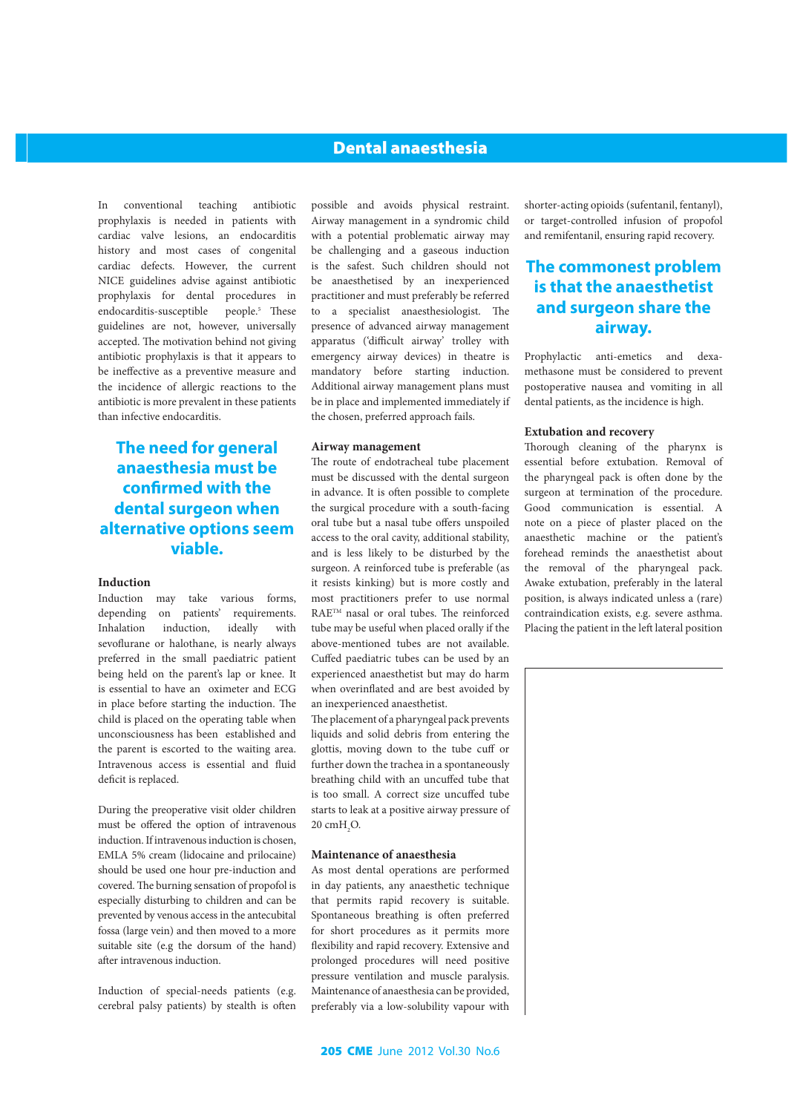### Dental anaesthesia

In conventional teaching antibiotic prophylaxis is needed in patients with cardiac valve lesions, an endocarditis history and most cases of congenital cardiac defects. However, the current NICE guidelines advise against antibiotic prophylaxis for dental procedures in endocarditis-susceptible people.<sup>5</sup> These guidelines are not, however, universally accepted. The motivation behind not giving antibiotic prophylaxis is that it appears to be ineffective as a preventive measure and the incidence of allergic reactions to the antibiotic is more prevalent in these patients than infective endocarditis.

**The need for general anaesthesia must be confirmed with the dental surgeon when alternative options seem viable.** 

#### **Induction**

Induction may take various forms, depending on patients' requirements. Inhalation induction, ideally with sevoflurane or halothane, is nearly always preferred in the small paediatric patient being held on the parent's lap or knee. It is essential to have an oximeter and ECG in place before starting the induction. The child is placed on the operating table when unconsciousness has been established and the parent is escorted to the waiting area. Intravenous access is essential and fluid deficit is replaced.

During the preoperative visit older children must be offered the option of intravenous induction. If intravenous induction is chosen, EMLA 5% cream (lidocaine and prilocaine) should be used one hour pre-induction and covered. The burning sensation of propofol is especially disturbing to children and can be prevented by venous access in the antecubital fossa (large vein) and then moved to a more suitable site (e.g the dorsum of the hand) after intravenous induction.

Induction of special-needs patients (e.g. cerebral palsy patients) by stealth is often possible and avoids physical restraint. Airway management in a syndromic child with a potential problematic airway may be challenging and a gaseous induction is the safest. Such children should not be anaesthetised by an inexperienced practitioner and must preferably be referred to a specialist anaesthesiologist. The presence of advanced airway management apparatus ('difficult airway' trolley with emergency airway devices) in theatre is mandatory before starting induction. Additional airway management plans must be in place and implemented immediately if the chosen, preferred approach fails.

#### **Airway management**

The route of endotracheal tube placement must be discussed with the dental surgeon in advance. It is often possible to complete the surgical procedure with a south-facing oral tube but a nasal tube offers unspoiled access to the oral cavity, additional stability, and is less likely to be disturbed by the surgeon. A reinforced tube is preferable (as it resists kinking) but is more costly and most practitioners prefer to use normal RAETM nasal or oral tubes. The reinforced tube may be useful when placed orally if the above-mentioned tubes are not available. Cuffed paediatric tubes can be used by an experienced anaesthetist but may do harm when overinflated and are best avoided by an inexperienced anaesthetist.

The placement of a pharyngeal pack prevents liquids and solid debris from entering the glottis, moving down to the tube cuff or further down the trachea in a spontaneously breathing child with an uncuffed tube that is too small. A correct size uncuffed tube starts to leak at a positive airway pressure of  $20 \text{ cm} + \text{C}$ 

#### **Maintenance of anaesthesia**

As most dental operations are performed in day patients, any anaesthetic technique that permits rapid recovery is suitable. Spontaneous breathing is often preferred for short procedures as it permits more flexibility and rapid recovery. Extensive and prolonged procedures will need positive pressure ventilation and muscle paralysis. Maintenance of anaesthesia can be provided, preferably via a low-solubility vapour with

shorter-acting opioids (sufentanil, fentanyl), or target-controlled infusion of propofol and remifentanil, ensuring rapid recovery.

# **The commonest problem is that the anaesthetist and surgeon share the airway.**

Prophylactic anti-emetics and dexamethasone must be considered to prevent postoperative nausea and vomiting in all dental patients, as the incidence is high.

#### **Extubation and recovery**

Thorough cleaning of the pharynx is essential before extubation. Removal of the pharyngeal pack is often done by the surgeon at termination of the procedure. Good communication is essential. A note on a piece of plaster placed on the anaesthetic machine or the patient's forehead reminds the anaesthetist about the removal of the pharyngeal pack. Awake extubation, preferably in the lateral position, is always indicated unless a (rare) contraindication exists, e.g. severe asthma. Placing the patient in the left lateral position

16786 ECOTRIN isl-MOD MED.indd 1 3/28/28/12 1:42:07 PM MED.indd 1 3/28/28/12 1:42:07 PM MED.indd 1 3/28/12 1:4